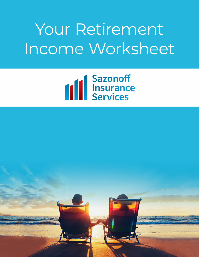# Your Retirement Income Worksheet



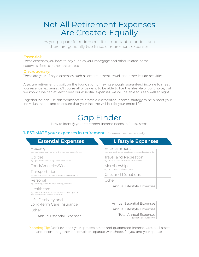## Not All Retirement Expenses Are Created Equally

As you prepare for retirement, it is important to understand there are generally two kinds of retirement expenses.

#### Essential:

These expenses you have to pay such as your mortgage and other related home expenses, food, cars, healthcare, etc.

#### Discretionary:

These are your lifestyle expenses such as entertainment, travel, and other leisure activities.

A secure retirement is built on the foundation of having enough guaranteed income to meet you essential expenses. Of course all of us want to be able to live the lifestyle of our choice, but we know if we can at least meet our essential expenses, we will be able to sleep well at night.

Together we can use this worksheet to create a customized income strategy to help meet your individual needs and to ensure that your income will last for your entire life.

## Gap Finder

How to identify your retirement income needs in 4 easy steps:

#### **1. ESTIMATE your expenses in retirement.** Expenses measured annually

| <b>Essential Expenses</b>                                                                               | <b>Lifestyle Expenses</b>                                                     |  |
|---------------------------------------------------------------------------------------------------------|-------------------------------------------------------------------------------|--|
| Housing<br>e.g., mortgage payments, rent, insurance, property tax                                       | Entertainment<br>e.g., movies, theatre, sporting events and restaurants       |  |
| Utilities<br>e.g., gas, water, electricity, telephone, cable                                            | Travel and Recreation<br>e.g., hotel, airfare, and RV/boat expenses           |  |
| Food/Groceries/Meals                                                                                    | Memberships<br>e.g., golf, health club and yoga<br><b>Gifts and Donations</b> |  |
| Transportation<br>e.g., car payments, gas, car insurance, maintenance                                   |                                                                               |  |
| Personal<br>e.g., clothing, haircuts, dry cleaning, toiletries                                          | Other<br>Annual Lifestyle Expenses                                            |  |
| Healthcare<br>e.g., medical insurance, vision/dental, prescriptions<br>and other out-of-pocket expenses |                                                                               |  |
| Life, Disability and<br>Long-Term Care Insurance                                                        | <b>Annual Essential Expenses</b>                                              |  |
| Other                                                                                                   | Annual Lifestyle Expenses                                                     |  |
| <b>Annual Essential Expenses</b>                                                                        | <b>Total Annual Expenses</b><br>(Essential + Lifestyle)                       |  |

Planning Tip: Don't overlook your spouse's assets and guaranteed income. Group all assets and income together, or complete separate worksheets for you and your spouse.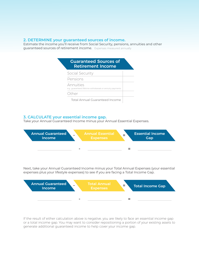#### **2. DETERMINE your guaranteed sources of income.**

Estimate the income you'll receive from Social Security, pensions, annuities and other guaranteed sources of retirement income. Expenses measured annually

| <b>Guaranteed Sources of</b><br><b>Retirement Income</b>               |  |
|------------------------------------------------------------------------|--|
| Social Security                                                        |  |
| Pensions                                                               |  |
| Annuities<br>e.g., quaranteed lifetime withdrawals or annuity payments |  |
| Other                                                                  |  |
| <b>Total Annual Guaranteed Income</b>                                  |  |

#### **3. CALCULATE your essential income gap.**

Take your Annual Guaranteed Income minus your Annual Essential Expenses.



Next, take your Annual Guaranteed Income minus your Total Annual Expenses (your essential expenses plus your lifestyle expenses) to see if you are facing a Total Income Gap.



If the result of either calculation above is negative, you are likely to face an essential income gap or a total income gap. You may want to consider repositioning a portion of your existing assets to generate additional guaranteed income to help cover your income gap.